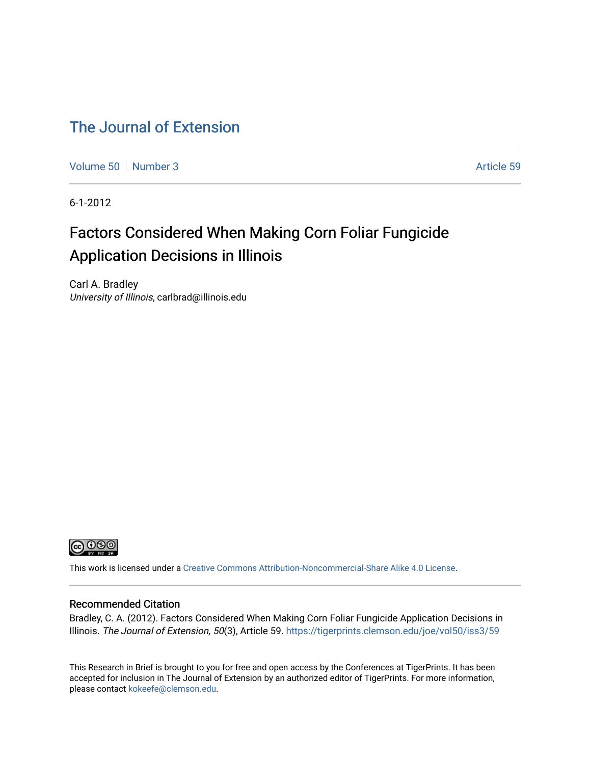# [The Journal of Extension](https://tigerprints.clemson.edu/joe)

[Volume 50](https://tigerprints.clemson.edu/joe/vol50) [Number 3](https://tigerprints.clemson.edu/joe/vol50/iss3) Article 59

6-1-2012

# Factors Considered When Making Corn Foliar Fungicide Application Decisions in Illinois

Carl A. Bradley University of Illinois, carlbrad@illinois.edu



This work is licensed under a [Creative Commons Attribution-Noncommercial-Share Alike 4.0 License.](https://creativecommons.org/licenses/by-nc-sa/4.0/)

#### Recommended Citation

Bradley, C. A. (2012). Factors Considered When Making Corn Foliar Fungicide Application Decisions in Illinois. The Journal of Extension, 50(3), Article 59. <https://tigerprints.clemson.edu/joe/vol50/iss3/59>

This Research in Brief is brought to you for free and open access by the Conferences at TigerPrints. It has been accepted for inclusion in The Journal of Extension by an authorized editor of TigerPrints. For more information, please contact [kokeefe@clemson.edu](mailto:kokeefe@clemson.edu).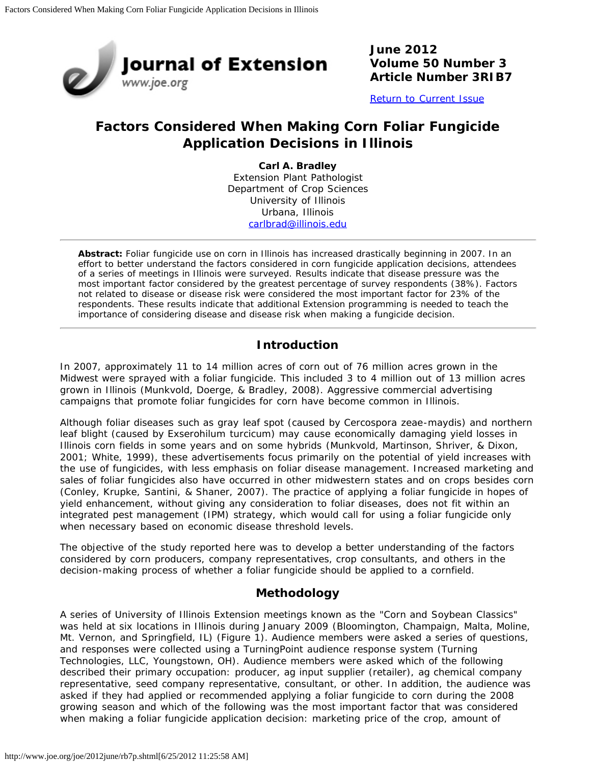

**June 2012 Volume 50 Number 3 Article Number 3RIB7**

[Return to Current Issue](http://www.joe.org/joe/2012june/)

# **Factors Considered When Making Corn Foliar Fungicide Application Decisions in Illinois**

**Carl A. Bradley** Extension Plant Pathologist Department of Crop Sciences University of Illinois Urbana, Illinois [carlbrad@illinois.edu](mailto:carlbrad@illinois.edu)

*Abstract: Foliar fungicide use on corn in Illinois has increased drastically beginning in 2007. In an effort to better understand the factors considered in corn fungicide application decisions, attendees of a series of meetings in Illinois were surveyed. Results indicate that disease pressure was the most important factor considered by the greatest percentage of survey respondents (38%). Factors not related to disease or disease risk were considered the most important factor for 23% of the respondents. These results indicate that additional Extension programming is needed to teach the importance of considering disease and disease risk when making a fungicide decision.*

### **Introduction**

In 2007, approximately 11 to 14 million acres of corn out of 76 million acres grown in the Midwest were sprayed with a foliar fungicide. This included 3 to 4 million out of 13 million acres grown in Illinois (Munkvold, Doerge, & Bradley, 2008). Aggressive commercial advertising campaigns that promote foliar fungicides for corn have become common in Illinois.

Although foliar diseases such as gray leaf spot (caused by *Cercospora zeae-maydis*) and northern leaf blight (caused by *Exserohilum turcicum*) may cause economically damaging yield losses in Illinois corn fields in some years and on some hybrids (Munkvold, Martinson, Shriver, & Dixon, 2001; White, 1999), these advertisements focus primarily on the potential of yield increases with the use of fungicides, with less emphasis on foliar disease management. Increased marketing and sales of foliar fungicides also have occurred in other midwestern states and on crops besides corn (Conley, Krupke, Santini, & Shaner, 2007). The practice of applying a foliar fungicide in hopes of yield enhancement, without giving any consideration to foliar diseases, does not fit within an integrated pest management (IPM) strategy, which would call for using a foliar fungicide only when necessary based on economic disease threshold levels.

The objective of the study reported here was to develop a better understanding of the factors considered by corn producers, company representatives, crop consultants, and others in the decision-making process of whether a foliar fungicide should be applied to a cornfield.

## **Methodology**

A series of University of Illinois Extension meetings known as the "Corn and Soybean Classics" was held at six locations in Illinois during January 2009 (Bloomington, Champaign, Malta, Moline, Mt. Vernon, and Springfield, IL) (Figure 1). Audience members were asked a series of questions, and responses were collected using a TurningPoint audience response system (Turning Technologies, LLC, Youngstown, OH). Audience members were asked which of the following described their primary occupation: producer, ag input supplier (retailer), ag chemical company representative, seed company representative, consultant, or other. In addition, the audience was asked if they had applied or recommended applying a foliar fungicide to corn during the 2008 growing season and which of the following was the most important factor that was considered when making a foliar fungicide application decision: marketing price of the crop, amount of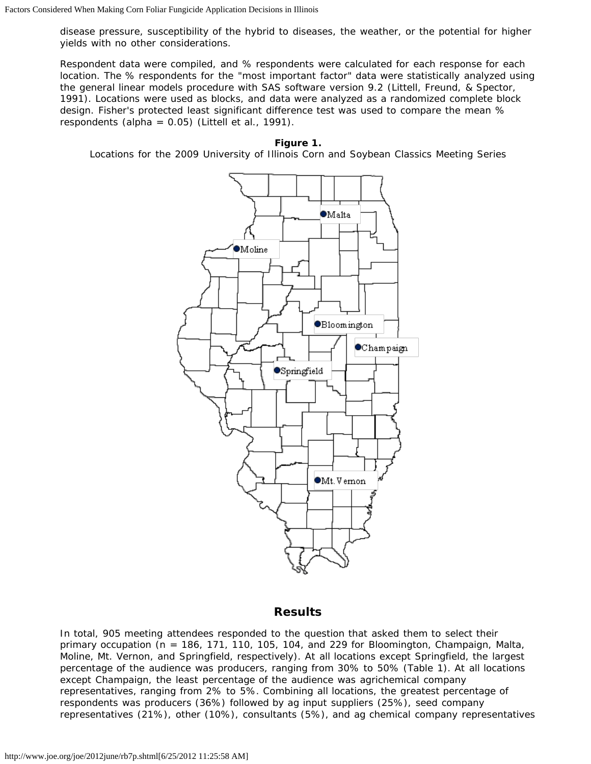disease pressure, susceptibility of the hybrid to diseases, the weather, or the potential for higher yields with no other considerations.

Respondent data were compiled, and % respondents were calculated for each response for each location. The % respondents for the "most important factor" data were statistically analyzed using the general linear models procedure with SAS software version 9.2 (Littell, Freund, & Spector, 1991). Locations were used as blocks, and data were analyzed as a randomized complete block design. Fisher's protected least significant difference test was used to compare the mean % respondents (alpha =  $0.05$ ) (Littell et al., 1991).

#### **Figure 1.**

Locations for the 2009 University of Illinois Corn and Soybean Classics Meeting Series



#### **Results**

In total, 905 meeting attendees responded to the question that asked them to select their primary occupation (n = 186, 171, 110, 105, 104, and 229 for Bloomington, Champaign, Malta, Moline, Mt. Vernon, and Springfield, respectively). At all locations except Springfield, the largest percentage of the audience was producers, ranging from 30% to 50% (Table 1). At all locations except Champaign, the least percentage of the audience was agrichemical company representatives, ranging from 2% to 5%. Combining all locations, the greatest percentage of respondents was producers (36%) followed by ag input suppliers (25%), seed company representatives (21%), other (10%), consultants (5%), and ag chemical company representatives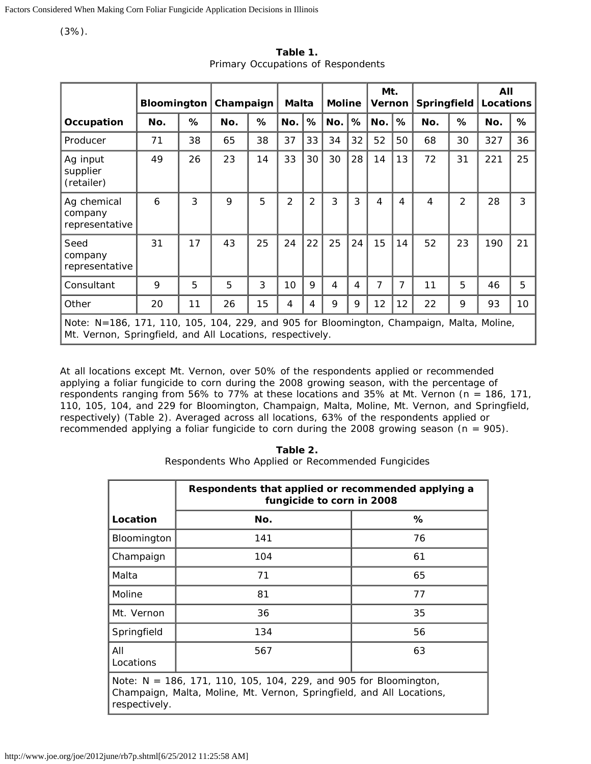(3%).

|                                                                                                                                                       | <b>Bloomington</b> |    | Champaign |    | <b>Malta</b>   |                | <b>Moline</b> |    | Mt.<br>Vernon |    | <b>Springfield</b> |                | All<br>Locations |    |
|-------------------------------------------------------------------------------------------------------------------------------------------------------|--------------------|----|-----------|----|----------------|----------------|---------------|----|---------------|----|--------------------|----------------|------------------|----|
| Occupation                                                                                                                                            | No.                | %  | No.       | %  | No.            | %              | No.           | %  | No.           | %  | No.                | %              | No.              | %  |
| Producer                                                                                                                                              | 71                 | 38 | 65        | 38 | 37             | 33             | 34            | 32 | 52            | 50 | 68                 | 30             | 327              | 36 |
| Ag input<br>supplier<br>(retailer)                                                                                                                    | 49                 | 26 | 23        | 14 | 33             | 30             | 30            | 28 | 14            | 13 | 72                 | 31             | 221              | 25 |
| Ag chemical<br>company<br>representative                                                                                                              | 6                  | 3  | 9         | 5  | $\overline{2}$ | $\overline{2}$ | 3             | 3  | 4             | 4  | 4                  | $\overline{2}$ | 28               | 3  |
| Seed<br>company<br>representative                                                                                                                     | 31                 | 17 | 43        | 25 | 24             | 22             | 25            | 24 | 15            | 14 | 52                 | 23             | 190              | 21 |
| Consultant                                                                                                                                            | 9                  | 5  | 5         | 3  | 10             | 9              | 4             | 4  | 7             | 7  | 11                 | 5              | 46               | 5  |
| Other                                                                                                                                                 | 20                 | 11 | 26        | 15 | 4              | 4              | 9             | 9  | 12            | 12 | 22                 | 9              | 93               | 10 |
| Note: N=186, 171, 110, 105, 104, 229, and 905 for Bloomington, Champaign, Malta, Moline,<br>Mt. Vernon, Springfield, and All Locations, respectively. |                    |    |           |    |                |                |               |    |               |    |                    |                |                  |    |

**Table 1.** Primary Occupations of Respondents

At all locations except Mt. Vernon, over 50% of the respondents applied or recommended applying a foliar fungicide to corn during the 2008 growing season, with the percentage of respondents ranging from 56% to 77% at these locations and 35% at Mt. Vernon (n = 186, 171, 110, 105, 104, and 229 for Bloomington, Champaign, Malta, Moline, Mt. Vernon, and Springfield, respectively) (Table 2). Averaged across all locations, 63% of the respondents applied or recommended applying a foliar fungicide to corn during the 2008 growing season ( $n = 905$ ).

| Table 2. |  |  |  |                                                   |  |  |  |  |  |  |  |
|----------|--|--|--|---------------------------------------------------|--|--|--|--|--|--|--|
|          |  |  |  | Respondents Who Applied or Recommended Fungicides |  |  |  |  |  |  |  |

|                                                                                                                                                            | Respondents that applied or recommended applying a<br>fungicide to corn in 2008 |    |  |  |  |  |  |  |  |
|------------------------------------------------------------------------------------------------------------------------------------------------------------|---------------------------------------------------------------------------------|----|--|--|--|--|--|--|--|
| Location                                                                                                                                                   | No.                                                                             | %  |  |  |  |  |  |  |  |
| Bloomington                                                                                                                                                | 141                                                                             | 76 |  |  |  |  |  |  |  |
| Champaign                                                                                                                                                  | 104                                                                             | 61 |  |  |  |  |  |  |  |
| Malta                                                                                                                                                      | 71                                                                              | 65 |  |  |  |  |  |  |  |
| Moline                                                                                                                                                     | 81                                                                              | 77 |  |  |  |  |  |  |  |
| Mt. Vernon                                                                                                                                                 | 36                                                                              | 35 |  |  |  |  |  |  |  |
| Springfield                                                                                                                                                | 134                                                                             | 56 |  |  |  |  |  |  |  |
| All<br>Locations                                                                                                                                           | 567                                                                             | 63 |  |  |  |  |  |  |  |
| Note: N = 186, 171, 110, 105, 104, 229, and 905 for Bloomington,<br>Champaign, Malta, Moline, Mt. Vernon, Springfield, and All Locations,<br>respectively. |                                                                                 |    |  |  |  |  |  |  |  |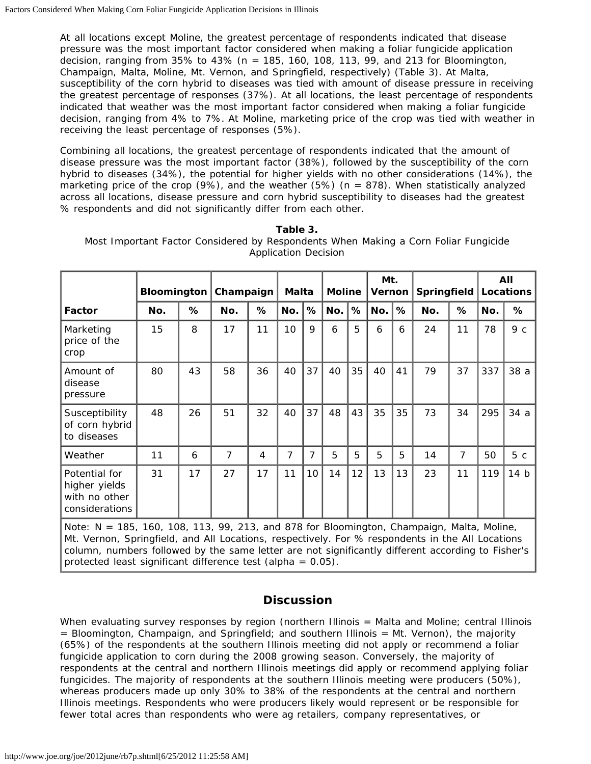At all locations except Moline, the greatest percentage of respondents indicated that disease pressure was the most important factor considered when making a foliar fungicide application decision, ranging from  $35\%$  to  $43\%$  (n = 185, 160, 108, 113, 99, and 213 for Bloomington, Champaign, Malta, Moline, Mt. Vernon, and Springfield, respectively) (Table 3). At Malta, susceptibility of the corn hybrid to diseases was tied with amount of disease pressure in receiving the greatest percentage of responses (37%). At all locations, the least percentage of respondents indicated that weather was the most important factor considered when making a foliar fungicide decision, ranging from 4% to 7%. At Moline, marketing price of the crop was tied with weather in receiving the least percentage of responses (5%).

Combining all locations, the greatest percentage of respondents indicated that the amount of disease pressure was the most important factor (38%), followed by the susceptibility of the corn hybrid to diseases (34%), the potential for higher yields with no other considerations (14%), the marketing price of the crop (9%), and the weather (5%) (n = 878). When statistically analyzed across all locations, disease pressure and corn hybrid susceptibility to diseases had the greatest % respondents and did not significantly differ from each other.

|                                                                   | <b>Bloomington</b> |    | Champaign      |    | Malta |    | <b>Moline</b> |    | Mt.<br>Vernon |    | Springfield |    | All<br>Locations |      |
|-------------------------------------------------------------------|--------------------|----|----------------|----|-------|----|---------------|----|---------------|----|-------------|----|------------------|------|
| Factor                                                            | No.                | %  | No.            | %  | No.   | %  | No.           | %  | No.           | %  | No.         | %  | No.              | %    |
| Marketing<br>price of the<br>crop                                 | 15                 | 8  | 17             | 11 | 10    | 9  | 6             | 5  | 6             | 6  | 24          | 11 | 78               | 9с   |
| Amount of<br>disease<br>pressure                                  | 80                 | 43 | 58             | 36 | 40    | 37 | 40            | 35 | 40            | 41 | 79          | 37 | 337              | 38 a |
| Susceptibility<br>of corn hybrid<br>to diseases                   | 48                 | 26 | 51             | 32 | 40    | 37 | 48            | 43 | 35            | 35 | 73          | 34 | 295              | 34a  |
| Weather                                                           | 11                 | 6  | $\overline{7}$ | 4  | 7     | 7  | 5             | 5  | 5             | 5  | 14          | 7  | 50               | 5c   |
| Potential for<br>higher yields<br>with no other<br>considerations | 31                 | 17 | 27             | 17 | 11    | 10 | 14            | 12 | 13            | 13 | 23          | 11 | 119              | 14 b |

**Table 3.** Most Important Factor Considered by Respondents When Making a Corn Foliar Fungicide Application Decision

*Note: N = 185, 160, 108, 113, 99, 213, and 878 for Bloomington, Champaign, Malta, Moline, Mt. Vernon, Springfield, and All Locations, respectively. For % respondents in the All Locations column, numbers followed by the same letter are not significantly different according to Fisher's protected least significant difference test (alpha = 0.05).*

### **Discussion**

When evaluating survey responses by region (northern Illinois = Malta and Moline; central Illinois = Bloomington, Champaign, and Springfield; and southern Illinois = Mt. Vernon), the majority (65%) of the respondents at the southern Illinois meeting *did not* apply or recommend a foliar fungicide application to corn during the 2008 growing season. Conversely, the majority of respondents at the central and northern Illinois meetings *did* apply or recommend applying foliar fungicides. The majority of respondents at the southern Illinois meeting were producers (50%), whereas producers made up only 30% to 38% of the respondents at the central and northern Illinois meetings. Respondents who were producers likely would represent or be responsible for fewer total acres than respondents who were ag retailers, company representatives, or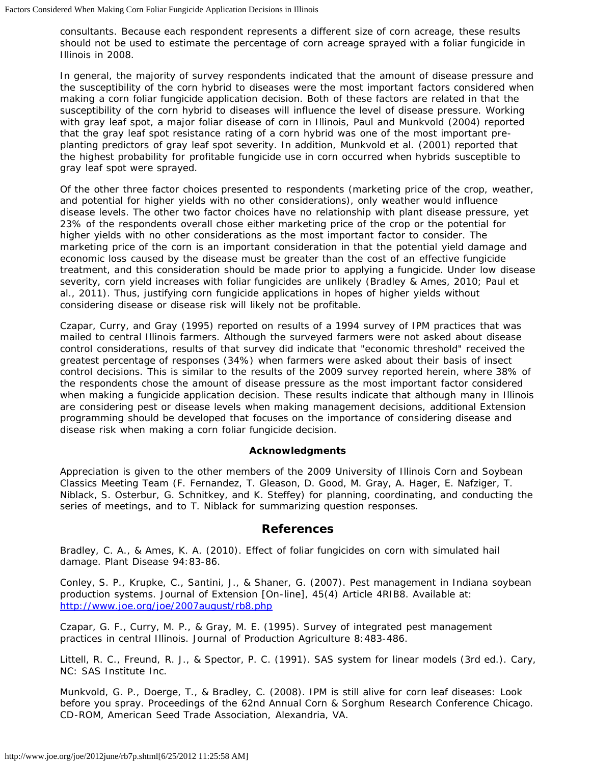consultants. Because each respondent represents a different size of corn acreage, these results should not be used to estimate the percentage of corn acreage sprayed with a foliar fungicide in Illinois in 2008.

In general, the majority of survey respondents indicated that the amount of disease pressure and the susceptibility of the corn hybrid to diseases were the most important factors considered when making a corn foliar fungicide application decision. Both of these factors are related in that the susceptibility of the corn hybrid to diseases will influence the level of disease pressure. Working with gray leaf spot, a major foliar disease of corn in Illinois, Paul and Munkvold (2004) reported that the gray leaf spot resistance rating of a corn hybrid was one of the most important preplanting predictors of gray leaf spot severity. In addition, Munkvold et al. (2001) reported that the highest probability for profitable fungicide use in corn occurred when hybrids susceptible to gray leaf spot were sprayed.

Of the other three factor choices presented to respondents (marketing price of the crop, weather, and potential for higher yields with no other considerations), only weather would influence disease levels. The other two factor choices have no relationship with plant disease pressure, yet 23% of the respondents overall chose either marketing price of the crop or the potential for higher yields with no other considerations as the most important factor to consider. The marketing price of the corn is an important consideration in that the potential yield damage and economic loss caused by the disease must be greater than the cost of an effective fungicide treatment, and this consideration should be made prior to applying a fungicide. Under low disease severity, corn yield increases with foliar fungicides are unlikely (Bradley & Ames, 2010; Paul et al., 2011). Thus, justifying corn fungicide applications in hopes of higher yields without considering disease or disease risk will likely not be profitable.

Czapar, Curry, and Gray (1995) reported on results of a 1994 survey of IPM practices that was mailed to central Illinois farmers. Although the surveyed farmers were not asked about disease control considerations, results of that survey did indicate that "economic threshold" received the greatest percentage of responses (34%) when farmers were asked about their basis of insect control decisions. This is similar to the results of the 2009 survey reported herein, where 38% of the respondents chose the amount of disease pressure as the most important factor considered when making a fungicide application decision. These results indicate that although many in Illinois are considering pest or disease levels when making management decisions, additional Extension programming should be developed that focuses on the importance of considering disease and disease risk when making a corn foliar fungicide decision.

#### **Acknowledgments**

Appreciation is given to the other members of the 2009 University of Illinois Corn and Soybean Classics Meeting Team (F. Fernandez, T. Gleason, D. Good, M. Gray, A. Hager, E. Nafziger, T. Niblack, S. Osterbur, G. Schnitkey, and K. Steffey) for planning, coordinating, and conducting the series of meetings, and to T. Niblack for summarizing question responses.

#### **References**

Bradley, C. A., & Ames, K. A. (2010). Effect of foliar fungicides on corn with simulated hail damage. *Plant Disease* 94:83-86.

Conley, S. P., Krupke, C., Santini, J., & Shaner, G. (2007). Pest management in Indiana soybean production systems. *Journal of Extension* [On-line], 45(4) Article 4RIB8. Available at: <http://www.joe.org/joe/2007august/rb8.php>

Czapar, G. F., Curry, M. P., & Gray, M. E. (1995). Survey of integrated pest management practices in central Illinois. *Journal of Production Agriculture* 8:483-486.

Littell, R. C., Freund, R. J., & Spector, P. C. (1991). *SAS system for linear models* (3rd ed.). Cary, NC: SAS Institute Inc.

Munkvold, G. P., Doerge, T., & Bradley, C. (2008). IPM is still alive for corn leaf diseases: Look before you spray. *Proceedings of the 62nd Annual Corn & Sorghum Research Conference* Chicago. CD-ROM, American Seed Trade Association, Alexandria, VA.